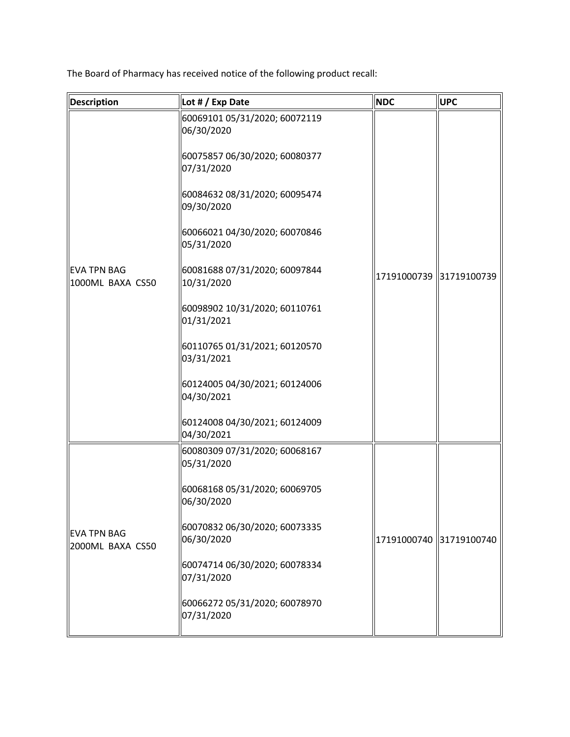The Board of Pharmacy has received notice of the following product recall:

| <b>Description</b>                     | Lot # / Exp Date                            | <b>NDC</b> | <b>UPC</b>              |
|----------------------------------------|---------------------------------------------|------------|-------------------------|
|                                        | 60069101 05/31/2020; 60072119<br>06/30/2020 |            |                         |
|                                        | 60075857 06/30/2020; 60080377<br>07/31/2020 |            |                         |
|                                        | 60084632 08/31/2020; 60095474<br>09/30/2020 |            |                         |
|                                        | 60066021 04/30/2020; 60070846<br>05/31/2020 |            |                         |
| <b>EVA TPN BAG</b><br>1000ML BAXA CS50 | 60081688 07/31/2020; 60097844<br>10/31/2020 |            | 17191000739 31719100739 |
|                                        | 60098902 10/31/2020; 60110761<br>01/31/2021 |            |                         |
|                                        | 60110765 01/31/2021; 60120570<br>03/31/2021 |            |                         |
|                                        | 60124005 04/30/2021; 60124006<br>04/30/2021 |            |                         |
|                                        | 60124008 04/30/2021; 60124009<br>04/30/2021 |            |                         |
|                                        | 60080309 07/31/2020; 60068167<br>05/31/2020 |            |                         |
|                                        | 60068168 05/31/2020; 60069705<br>06/30/2020 |            |                         |
| <b>EVA TPN BAG</b><br>2000ML BAXA CS50 | 60070832 06/30/2020; 60073335<br>06/30/2020 |            | 17191000740 31719100740 |
|                                        | 60074714 06/30/2020; 60078334<br>07/31/2020 |            |                         |
|                                        | 60066272 05/31/2020; 60078970<br>07/31/2020 |            |                         |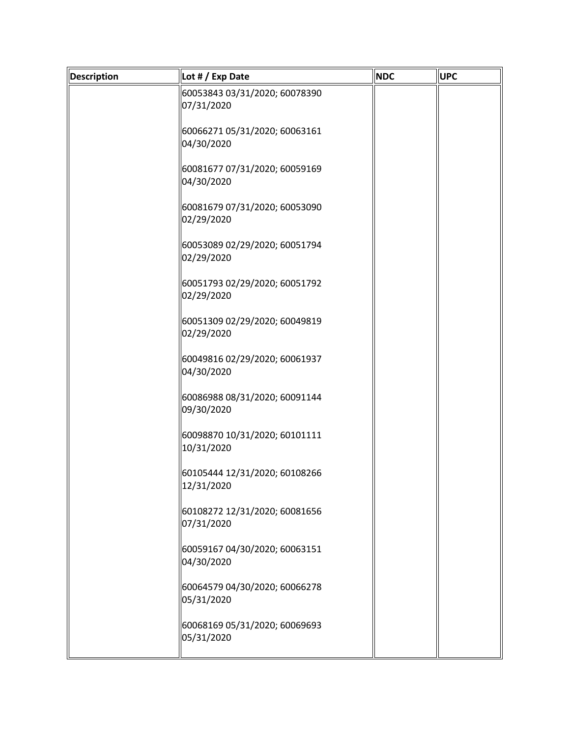| <b>Description</b> | Lot # / Exp Date                            | <b>NDC</b> | <b>UPC</b> |
|--------------------|---------------------------------------------|------------|------------|
|                    | 60053843 03/31/2020; 60078390<br>07/31/2020 |            |            |
|                    | 60066271 05/31/2020; 60063161<br>04/30/2020 |            |            |
|                    | 60081677 07/31/2020; 60059169<br>04/30/2020 |            |            |
|                    | 60081679 07/31/2020; 60053090<br>02/29/2020 |            |            |
|                    | 60053089 02/29/2020; 60051794<br>02/29/2020 |            |            |
|                    | 60051793 02/29/2020; 60051792<br>02/29/2020 |            |            |
|                    | 60051309 02/29/2020; 60049819<br>02/29/2020 |            |            |
|                    | 60049816 02/29/2020; 60061937<br>04/30/2020 |            |            |
|                    | 60086988 08/31/2020; 60091144<br>09/30/2020 |            |            |
|                    | 60098870 10/31/2020; 60101111<br>10/31/2020 |            |            |
|                    | 60105444 12/31/2020; 60108266<br>12/31/2020 |            |            |
|                    | 60108272 12/31/2020; 60081656<br>07/31/2020 |            |            |
|                    | 60059167 04/30/2020; 60063151<br>04/30/2020 |            |            |
|                    | 60064579 04/30/2020; 60066278<br>05/31/2020 |            |            |
|                    | 60068169 05/31/2020; 60069693<br>05/31/2020 |            |            |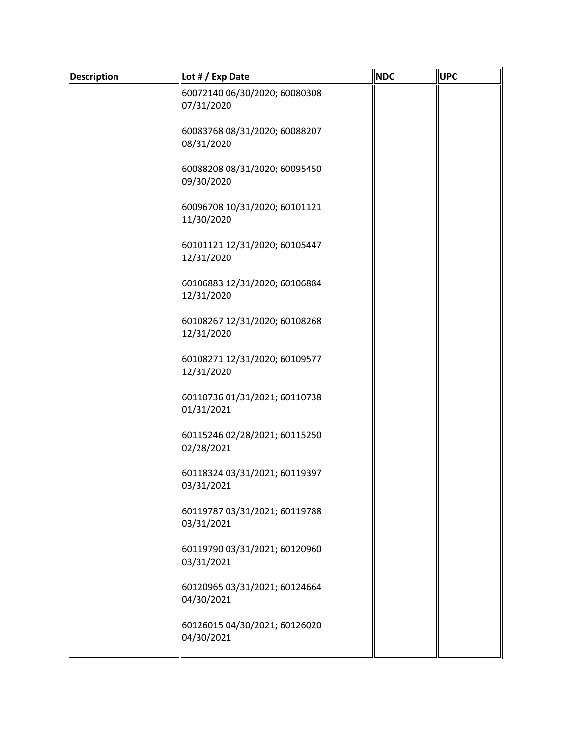| <b>Description</b> | Lot # / Exp Date                            | <b>NDC</b> | <b>UPC</b> |
|--------------------|---------------------------------------------|------------|------------|
|                    | 60072140 06/30/2020; 60080308<br>07/31/2020 |            |            |
|                    | 60083768 08/31/2020; 60088207<br>08/31/2020 |            |            |
|                    | 60088208 08/31/2020; 60095450<br>09/30/2020 |            |            |
|                    | 60096708 10/31/2020; 60101121<br>11/30/2020 |            |            |
|                    | 60101121 12/31/2020; 60105447<br>12/31/2020 |            |            |
|                    | 60106883 12/31/2020; 60106884<br>12/31/2020 |            |            |
|                    | 60108267 12/31/2020; 60108268<br>12/31/2020 |            |            |
|                    | 60108271 12/31/2020; 60109577<br>12/31/2020 |            |            |
|                    | 60110736 01/31/2021; 60110738<br>01/31/2021 |            |            |
|                    | 60115246 02/28/2021; 60115250<br>02/28/2021 |            |            |
|                    | 60118324 03/31/2021; 60119397<br>03/31/2021 |            |            |
|                    | 60119787 03/31/2021; 60119788<br>03/31/2021 |            |            |
|                    | 60119790 03/31/2021; 60120960<br>03/31/2021 |            |            |
|                    | 60120965 03/31/2021; 60124664<br>04/30/2021 |            |            |
|                    | 60126015 04/30/2021; 60126020<br>04/30/2021 |            |            |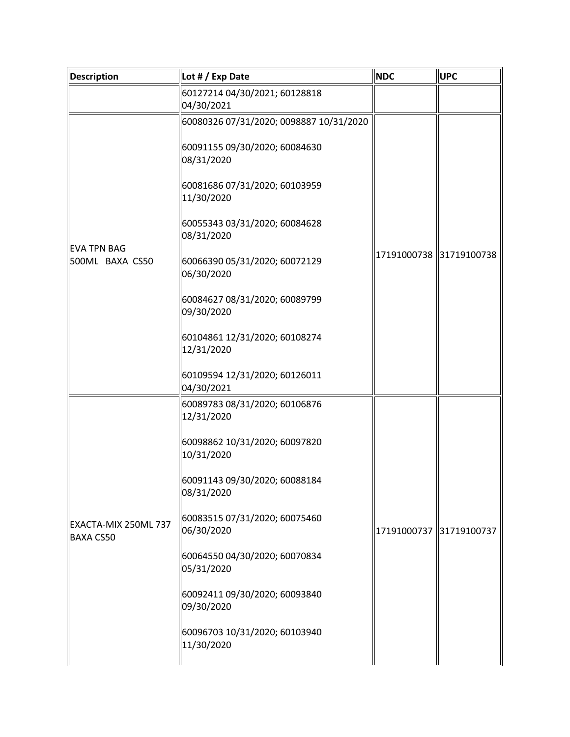| Description                              | Lot # / Exp Date                                                                                                                                                                                                                                                                                                                                                                   | <b>NDC</b>              | <b>UPC</b> |
|------------------------------------------|------------------------------------------------------------------------------------------------------------------------------------------------------------------------------------------------------------------------------------------------------------------------------------------------------------------------------------------------------------------------------------|-------------------------|------------|
|                                          | 60127214 04/30/2021; 60128818<br>04/30/2021                                                                                                                                                                                                                                                                                                                                        |                         |            |
| <b>EVA TPN BAG</b><br>500ML BAXA CS50    | 60080326 07/31/2020; 0098887 10/31/2020<br>60091155 09/30/2020; 60084630<br>08/31/2020<br>60081686 07/31/2020; 60103959<br>11/30/2020<br>60055343 03/31/2020; 60084628<br>08/31/2020<br>  60066390 05/31/2020; 60072129<br>06/30/2020<br>60084627 08/31/2020; 60089799<br>09/30/2020<br>60104861 12/31/2020; 60108274<br>12/31/2020<br>60109594 12/31/2020; 60126011<br>04/30/2021 | 17191000738 31719100738 |            |
| EXACTA-MIX 250ML 737<br><b>BAXA CS50</b> | 60089783 08/31/2020; 60106876<br>12/31/2020<br>60098862 10/31/2020; 60097820<br>10/31/2020<br>60091143 09/30/2020; 60088184<br>08/31/2020<br>  60083515 07/31/2020; 60075460<br>06/30/2020<br>  60064550 04/30/2020; 60070834<br>05/31/2020<br>60092411 09/30/2020; 60093840<br>09/30/2020<br>60096703 10/31/2020; 60103940<br>11/30/2020                                          | 17191000737 31719100737 |            |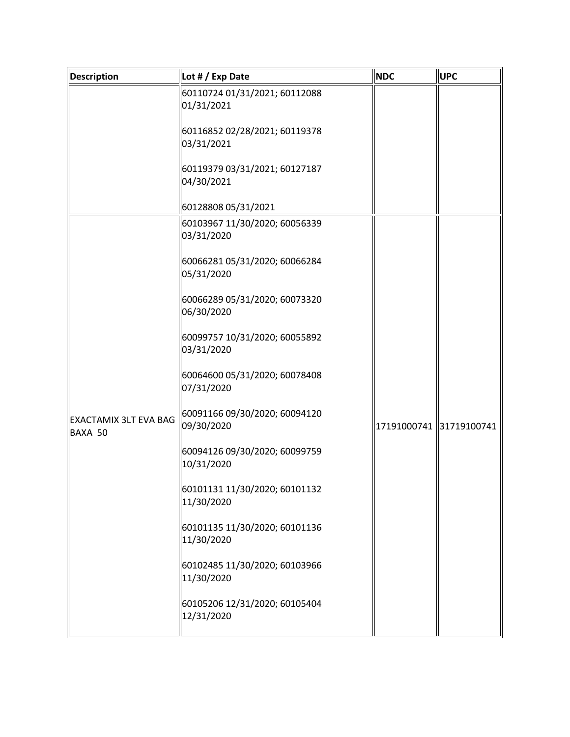| <b>Description</b>                      | Lot # / Exp Date                            | <b>NDC</b>              | <b>UPC</b> |
|-----------------------------------------|---------------------------------------------|-------------------------|------------|
|                                         | 60110724 01/31/2021; 60112088<br>01/31/2021 |                         |            |
|                                         | 60116852 02/28/2021; 60119378<br>03/31/2021 |                         |            |
|                                         | 60119379 03/31/2021; 60127187<br>04/30/2021 |                         |            |
|                                         | 60128808 05/31/2021                         |                         |            |
|                                         | 60103967 11/30/2020; 60056339<br>03/31/2020 |                         |            |
|                                         | 60066281 05/31/2020; 60066284<br>05/31/2020 |                         |            |
| <b>EXACTAMIX 3LT EVA BAG</b><br>BAXA 50 | 60066289 05/31/2020; 60073320<br>06/30/2020 |                         |            |
|                                         | 60099757 10/31/2020; 60055892<br>03/31/2020 |                         |            |
|                                         | 60064600 05/31/2020; 60078408<br>07/31/2020 |                         |            |
|                                         | 60091166 09/30/2020; 60094120<br>09/30/2020 | 17191000741 31719100741 |            |
|                                         | 60094126 09/30/2020; 60099759<br>10/31/2020 |                         |            |
|                                         | 60101131 11/30/2020; 60101132<br>11/30/2020 |                         |            |
|                                         | 60101135 11/30/2020; 60101136<br>11/30/2020 |                         |            |
|                                         | 60102485 11/30/2020; 60103966<br>11/30/2020 |                         |            |
|                                         | 60105206 12/31/2020; 60105404<br>12/31/2020 |                         |            |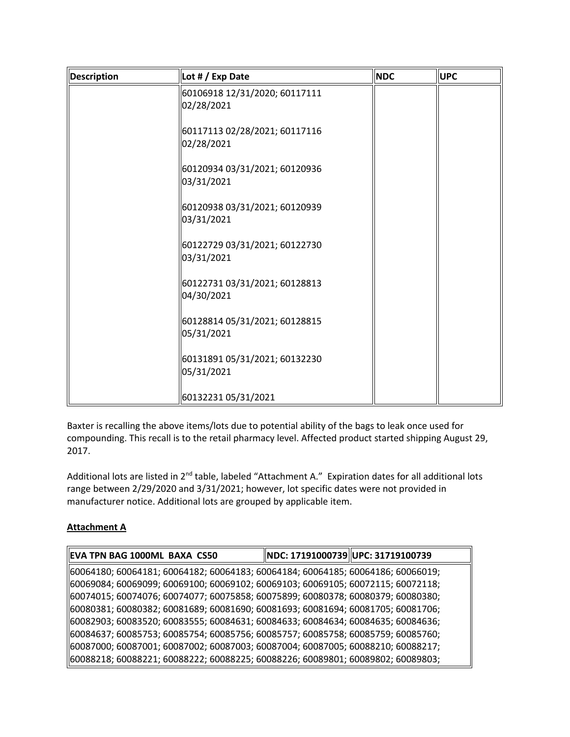| <b>Description</b> | Lot # / Exp Date                            | <b>NDC</b> | <b>UPC</b> |
|--------------------|---------------------------------------------|------------|------------|
|                    | 60106918 12/31/2020; 60117111<br>02/28/2021 |            |            |
|                    | 60117113 02/28/2021; 60117116<br>02/28/2021 |            |            |
|                    | 60120934 03/31/2021; 60120936<br>03/31/2021 |            |            |
|                    | 60120938 03/31/2021; 60120939<br>03/31/2021 |            |            |
|                    | 60122729 03/31/2021; 60122730<br>03/31/2021 |            |            |
|                    | 60122731 03/31/2021; 60128813<br>04/30/2021 |            |            |
|                    | 60128814 05/31/2021; 60128815<br>05/31/2021 |            |            |
|                    | 60131891 05/31/2021; 60132230<br>05/31/2021 |            |            |
|                    | 60132231 05/31/2021                         |            |            |

Baxter is recalling the above items/lots due to potential ability of the bags to leak once used for compounding. This recall is to the retail pharmacy level. Affected product started shipping August 29, 2017.

Additional lots are listed in 2<sup>nd</sup> table, labeled "Attachment A." Expiration dates for all additional lots range between 2/29/2020 and 3/31/2021; however, lot specific dates were not provided in manufacturer notice. Additional lots are grouped by applicable item.

## **Attachment A**

| EVA TPN BAG 1000ML BAXA CS50                                                    | NDC: 17191000739 UPC: 31719100739 |  |
|---------------------------------------------------------------------------------|-----------------------------------|--|
| 60064180; 60064181; 60064182; 60064183; 60064184; 60064185; 60064186; 60066019; |                                   |  |
| 60069084; 60069099; 60069100; 60069102; 60069103; 60069105; 60072115; 60072118; |                                   |  |
| 60074015; 60074076; 60074077; 60075858; 60075899; 60080378; 60080379; 60080380; |                                   |  |
| 60080381; 60080382; 60081689; 60081690; 60081693; 60081694; 60081705; 60081706; |                                   |  |
| 60082903; 60083520; 60083555; 60084631; 60084633; 60084634; 60084635; 60084636; |                                   |  |
| 60084637; 60085753; 60085754; 60085756; 60085757; 60085758; 60085759; 60085760; |                                   |  |
| 60087000; 60087001; 60087002; 60087003; 60087004; 60087005; 60088210; 60088217; |                                   |  |
| 60088218; 60088221; 60088222; 60088225; 60088226; 60089801; 60089802; 60089803; |                                   |  |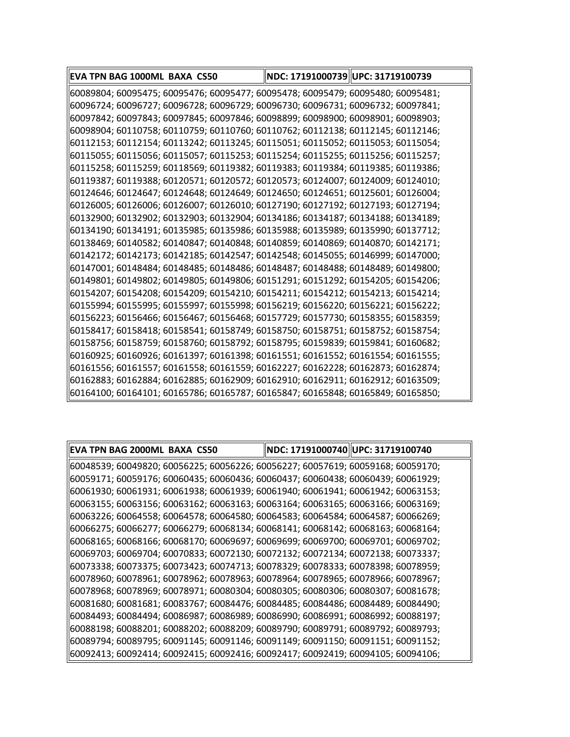| EVA TPN BAG 1000ML BAXA CS50                                                    | NDC: 17191000739 UPC: 31719100739 |
|---------------------------------------------------------------------------------|-----------------------------------|
| 60089804; 60095475; 60095476; 60095477; 60095478; 60095479; 60095480; 60095481; |                                   |
| 60096724; 60096727; 60096728; 60096729; 60096730; 60096731; 60096732; 60097841; |                                   |
| 60097842; 60097843; 60097845; 60097846; 60098899; 60098900; 60098901; 60098903; |                                   |
| 60098904; 60110758; 60110759; 60110760; 60110762; 60112138; 60112145; 60112146; |                                   |
| 60112153; 60112154; 60113242; 60113245; 60115051; 60115052; 60115053; 60115054; |                                   |
| 60115055; 60115056; 60115057; 60115253; 60115254; 60115255; 60115256; 60115257; |                                   |
| 60115258; 60115259; 60118569; 60119382; 60119383; 60119384; 60119385; 60119386; |                                   |
| 60119387; 60119388; 60120571; 60120572; 60120573; 60124007; 60124009; 60124010; |                                   |
| 60124646; 60124647; 60124648; 60124649; 60124650; 60124651; 60125601; 60126004; |                                   |
| 60126005; 60126006; 60126007; 60126010; 60127190; 60127192; 60127193; 60127194; |                                   |
| 60132900; 60132902; 60132903; 60132904; 60134186; 60134187; 60134188; 60134189; |                                   |
| 60134190; 60134191; 60135985; 60135986; 60135988; 60135989; 60135990; 60137712; |                                   |
| 60138469; 60140582; 60140847; 60140848; 60140859; 60140869; 60140870; 60142171; |                                   |
| 60142172; 60142173; 60142185; 60142547; 60142548; 60145055; 60146999; 60147000; |                                   |
| 60147001; 60148484; 60148485; 60148486; 60148487; 60148488; 60148489; 60149800; |                                   |
| 60149801; 60149802; 60149805; 60149806; 60151291; 60151292; 60154205; 60154206; |                                   |
| 60154207; 60154208; 60154209; 60154210; 60154211; 60154212; 60154213; 60154214; |                                   |
| 60155994; 60155995; 60155997; 60155998; 60156219; 60156220; 60156221; 60156222; |                                   |
| 60156223; 60156466; 60156467; 60156468; 60157729; 60157730; 60158355; 60158359; |                                   |
| 60158417; 60158418; 60158541; 60158749; 60158750; 60158751; 60158752; 60158754; |                                   |
| 60158756; 60158759; 60158760; 60158792; 60158795; 60159839; 60159841; 60160682; |                                   |
| 60160925; 60160926; 60161397; 60161398; 60161551; 60161552; 60161554; 60161555; |                                   |
| 60161556; 60161557; 60161558; 60161559; 60162227; 60162228; 60162873; 60162874; |                                   |
| 60162883; 60162884; 60162885; 60162909; 60162910; 60162911; 60162912; 60163509; |                                   |
| 60164100; 60164101; 60165786; 60165787; 60165847; 60165848; 60165849; 60165850; |                                   |

| EVA TPN BAG 2000ML BAXA CS50                                                    | NDC: 17191000740  UPC: 31719100740 |
|---------------------------------------------------------------------------------|------------------------------------|
| 60048539; 60049820; 60056225; 60056226; 60056227; 60057619; 60059168; 60059170; |                                    |
| 60059171; 60059176; 60060435; 60060436; 60060437; 60060438; 60060439; 60061929; |                                    |
| 60061930; 60061931; 60061938; 60061939; 60061940; 60061941; 60061942; 60063153; |                                    |
| 60063155; 60063156; 60063162; 60063163; 60063164; 60063165; 60063166; 60063169; |                                    |
| 60063226; 60064558; 60064578; 60064580; 60064583; 60064584; 60064587; 60066269; |                                    |
| 60066275; 60066277; 60066279; 60068134; 60068141; 60068142; 60068163; 60068164; |                                    |
| 60068165; 60068166; 60068170; 60069697; 60069699; 60069700; 60069701; 60069702; |                                    |
| 60069703; 60069704; 60070833; 60072130; 60072132; 60072134; 60072138; 60073337; |                                    |
| 60073338; 60073375; 60073423; 60074713; 60078329; 60078333; 60078398; 60078959; |                                    |
| 60078960; 60078961; 60078962; 60078963; 60078964; 60078965; 60078966; 60078967; |                                    |
| 60078968; 60078969; 60078971; 60080304; 60080305; 60080306; 60080307; 60081678; |                                    |
| 60081680; 60081681; 60083767; 60084476; 60084485; 60084486; 60084489; 60084490; |                                    |
| 60084493; 60084494; 60086987; 60086989; 60086990; 60086991; 60086992; 60088197; |                                    |
| 60088198; 60088201; 60088202; 60088209; 60089790; 60089791; 60089792; 60089793; |                                    |
| 60089794; 60089795; 60091145; 60091146; 60091149; 60091150; 60091151; 60091152; |                                    |
| 60092413; 60092414; 60092415; 60092416; 60092417; 60092419; 60094105; 60094106; |                                    |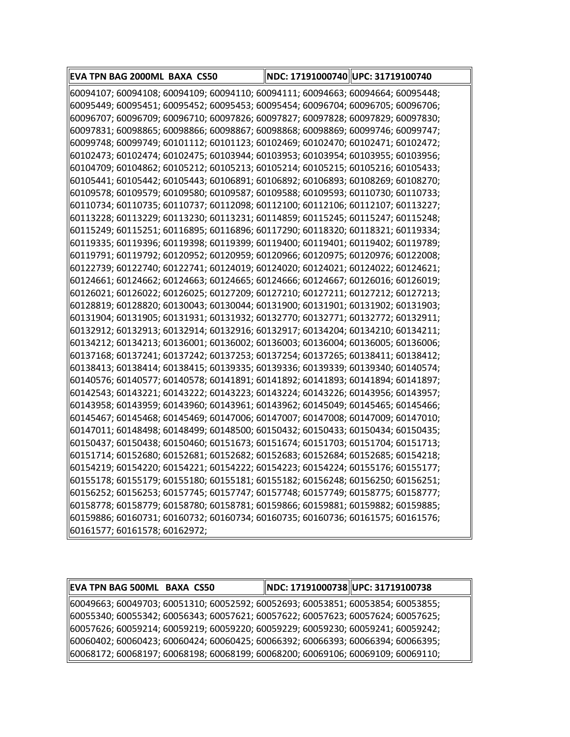| EVA TPN BAG 2000ML BAXA CS50                                                    | NDC: 17191000740 UPC: 31719100740 |  |
|---------------------------------------------------------------------------------|-----------------------------------|--|
| 60094107; 60094108; 60094109; 60094110; 60094111; 60094663; 60094664; 60095448; |                                   |  |
| 60095449; 60095451; 60095452; 60095453; 60095454; 60096704; 60096705; 60096706; |                                   |  |
| 60096707; 60096709; 60096710; 60097826; 60097827; 60097828; 60097829; 60097830; |                                   |  |
| 60097831; 60098865; 60098866; 60098867; 60098868; 60098869; 60099746; 60099747; |                                   |  |
| 60099748; 60099749; 60101112; 60101123; 60102469; 60102470; 60102471; 60102472; |                                   |  |
| 60102473; 60102474; 60102475; 60103944; 60103953; 60103954; 60103955; 60103956; |                                   |  |
| 60104709; 60104862; 60105212; 60105213; 60105214; 60105215; 60105216; 60105433; |                                   |  |
| 60105441; 60105442; 60105443; 60106891; 60106892; 60106893; 60108269; 60108270; |                                   |  |
| 60109578; 60109579; 60109580; 60109587; 60109588; 60109593; 60110730; 60110733; |                                   |  |
| 60110734; 60110735; 60110737; 60112098; 60112100; 60112106; 60112107; 60113227; |                                   |  |
| 60113228; 60113229; 60113230; 60113231; 60114859; 60115245; 60115247; 60115248; |                                   |  |
| 60115249; 60115251; 60116895; 60116896; 60117290; 60118320; 60118321; 60119334; |                                   |  |
| 60119335; 60119396; 60119398; 60119399; 60119400; 60119401; 60119402; 60119789; |                                   |  |
| 60119791; 60119792; 60120952; 60120959; 60120966; 60120975; 60120976; 60122008; |                                   |  |
| 60122739; 60122740; 60122741; 60124019; 60124020; 60124021; 60124022; 60124621; |                                   |  |
| 60124661; 60124662; 60124663; 60124665; 60124666; 60124667; 60126016; 60126019; |                                   |  |
| 60126021; 60126022; 60126025; 60127209; 60127210; 60127211; 60127212; 60127213; |                                   |  |
| 60128819; 60128820; 60130043; 60130044; 60131900; 60131901; 60131902; 60131903; |                                   |  |
| 60131904; 60131905; 60131931; 60131932; 60132770; 60132771; 60132772; 60132911; |                                   |  |
| 60132912; 60132913; 60132914; 60132916; 60132917; 60134204; 60134210; 60134211; |                                   |  |
| 60134212; 60134213; 60136001; 60136002; 60136003; 60136004; 60136005; 60136006; |                                   |  |
| 60137168; 60137241; 60137242; 60137253; 60137254; 60137265; 60138411; 60138412; |                                   |  |
| 60138413; 60138414; 60138415; 60139335; 60139336; 60139339; 60139340; 60140574; |                                   |  |
| 60140576; 60140577; 60140578; 60141891; 60141892; 60141893; 60141894; 60141897; |                                   |  |
| 60142543; 60143221; 60143222; 60143223; 60143224; 60143226; 60143956; 60143957; |                                   |  |
| 60143958; 60143959; 60143960; 60143961; 60143962; 60145049; 60145465; 60145466; |                                   |  |
| 60145467; 60145468; 60145469; 60147006; 60147007; 60147008; 60147009; 60147010; |                                   |  |
| 60147011; 60148498; 60148499; 60148500; 60150432; 60150433; 60150434; 60150435; |                                   |  |
| 60150437; 60150438; 60150460; 60151673; 60151674; 60151703; 60151704; 60151713; |                                   |  |
| 60151714; 60152680; 60152681; 60152682; 60152683; 60152684; 60152685; 60154218; |                                   |  |
| 60154219; 60154220; 60154221; 60154222; 60154223; 60154224; 60155176; 60155177; |                                   |  |
| 60155178; 60155179; 60155180; 60155181; 60155182; 60156248; 60156250; 60156251; |                                   |  |
| 60156252; 60156253; 60157745; 60157747; 60157748; 60157749; 60158775; 60158777; |                                   |  |
| 60158778; 60158779; 60158780; 60158781; 60159866; 60159881; 60159882; 60159885; |                                   |  |
| 60159886; 60160731; 60160732; 60160734; 60160735; 60160736; 60161575; 60161576; |                                   |  |
| 60161577; 60161578; 60162972;                                                   |                                   |  |

| EVA TPN BAG 500ML BAXA CS50                                                       | NDC: 17191000738  UPC: 31719100738 |
|-----------------------------------------------------------------------------------|------------------------------------|
| 60049663; 60049703; 60051310; 60052592; 60052693; 60053851; 60053854; 60053855;   |                                    |
| 60055340; 60055342; 60056343; 60057621; 60057622; 60057623; 60057624; 60057625;   |                                    |
| 60057626; 60059214; 60059219; 60059220; 60059229; 60059230; 60059241; 60059242; [ |                                    |
| 60060402; 60060423; 60060424; 60060425; 60066392; 60066393; 60066394; 60066395;   |                                    |
| 60068172; 60068197; 60068198; 60068199; 60068200; 60069106; 60069109; 60069110;   |                                    |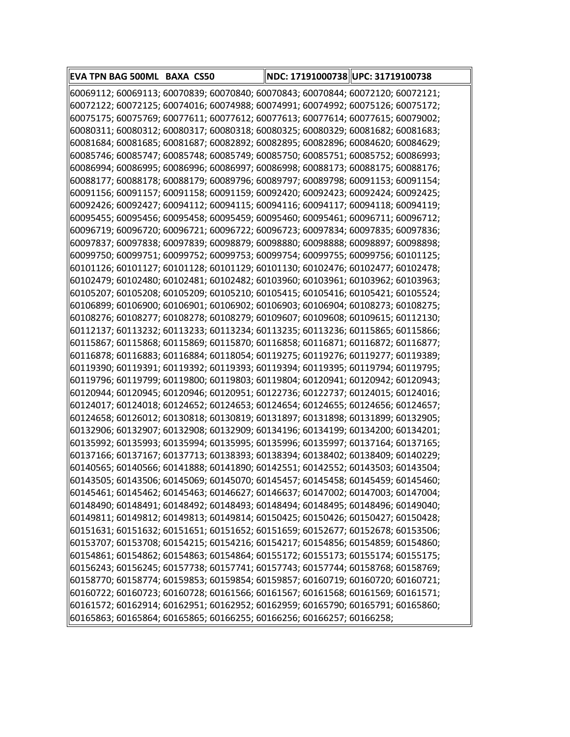| EVA TPN BAG 500ML BAXA CS50                                                     | NDC: 17191000738 UPC: 31719100738 |  |
|---------------------------------------------------------------------------------|-----------------------------------|--|
| 60069112; 60069113; 60070839; 60070840; 60070843; 60070844; 60072120; 60072121; |                                   |  |
| 60072122; 60072125; 60074016; 60074988; 60074991; 60074992; 60075126; 60075172; |                                   |  |
| 60075175; 60075769; 60077611; 60077612; 60077613; 60077614; 60077615; 60079002; |                                   |  |
| 60080311; 60080312; 60080317; 60080318; 60080325; 60080329; 60081682; 60081683; |                                   |  |
| 60081684; 60081685; 60081687; 60082892; 60082895; 60082896; 60084620; 60084629; |                                   |  |
| 60085746; 60085747; 60085748; 60085749; 60085750; 60085751; 60085752; 60086993; |                                   |  |
| 60086994; 60086995; 60086996; 60086997; 60086998; 60088173; 60088175; 60088176; |                                   |  |
| 60088177; 60088178; 60088179; 60089796; 60089797; 60089798; 60091153; 60091154; |                                   |  |
| 60091156; 60091157; 60091158; 60091159; 60092420; 60092423; 60092424; 60092425; |                                   |  |
| 60092426; 60092427; 60094112; 60094115; 60094116; 60094117; 60094118; 60094119; |                                   |  |
| 60095455; 60095456; 60095458; 60095459; 60095460; 60095461; 60096711; 60096712; |                                   |  |
| 60096719; 60096720; 60096721; 60096722; 60096723; 60097834; 60097835; 60097836; |                                   |  |
| 60097837; 60097838; 60097839; 60098879; 60098880; 60098888; 60098897; 60098898; |                                   |  |
| 60099750; 60099751; 60099752; 60099753; 60099754; 60099755; 60099756; 60101125; |                                   |  |
| 60101126; 60101127; 60101128; 60101129; 60101130; 60102476; 60102477; 60102478; |                                   |  |
| 60102479; 60102480; 60102481; 60102482; 60103960; 60103961; 60103962; 60103963; |                                   |  |
| 60105207; 60105208; 60105209; 60105210; 60105415; 60105416; 60105421; 60105524; |                                   |  |
| 60106899; 60106900; 60106901; 60106902; 60106903; 60106904; 60108273; 60108275; |                                   |  |
| 60108276; 60108277; 60108278; 60108279; 60109607; 60109608; 60109615; 60112130; |                                   |  |
| 60112137; 60113232; 60113233; 60113234; 60113235; 60113236; 60115865; 60115866; |                                   |  |
| 60115867; 60115868; 60115869; 60115870; 60116858; 60116871; 60116872; 60116877; |                                   |  |
| 60116878; 60116883; 60116884; 60118054; 60119275; 60119276; 60119277; 60119389; |                                   |  |
| 60119390; 60119391; 60119392; 60119393; 60119394; 60119395; 60119794; 60119795; |                                   |  |
| 60119796; 60119799; 60119800; 60119803; 60119804; 60120941; 60120942; 60120943; |                                   |  |
| 60120944; 60120945; 60120946; 60120951; 60122736; 60122737; 60124015; 60124016; |                                   |  |
| 60124017; 60124018; 60124652; 60124653; 60124654; 60124655; 60124656; 60124657; |                                   |  |
| 60124658; 60126012; 60130818; 60130819; 60131897; 60131898; 60131899; 60132905; |                                   |  |
| 60132906; 60132907; 60132908; 60132909; 60134196; 60134199; 60134200; 60134201; |                                   |  |
| 60135992; 60135993; 60135994; 60135995; 60135996; 60135997; 60137164; 60137165; |                                   |  |
| 60137166; 60137167; 60137713; 60138393; 60138394; 60138402; 60138409; 60140229; |                                   |  |
| 60140565; 60140566; 60141888; 60141890; 60142551; 60142552; 60143503; 60143504; |                                   |  |
| 60143505; 60143506; 60145069; 60145070; 60145457; 60145458; 60145459; 60145460; |                                   |  |
| 60145461; 60145462; 60145463; 60146627; 60146637; 60147002; 60147003; 60147004; |                                   |  |
| 60148490; 60148491; 60148492; 60148493; 60148494; 60148495; 60148496; 60149040; |                                   |  |
| 60149811; 60149812; 60149813; 60149814; 60150425; 60150426; 60150427; 60150428; |                                   |  |
| 60151631; 60151632; 60151651; 60151652; 60151659; 60152677; 60152678; 60153506; |                                   |  |
| 60153707; 60153708; 60154215; 60154216; 60154217; 60154856; 60154859; 60154860; |                                   |  |
| 60154861; 60154862; 60154863; 60154864; 60155172; 60155173; 60155174; 60155175; |                                   |  |
| 60156243; 60156245; 60157738; 60157741; 60157743; 60157744; 60158768; 60158769; |                                   |  |
| 60158770; 60158774; 60159853; 60159854; 60159857; 60160719; 60160720; 60160721; |                                   |  |
| 60160722; 60160723; 60160728; 60161566; 60161567; 60161568; 60161569; 60161571; |                                   |  |
| 60161572; 60162914; 60162951; 60162952; 60162959; 60165790; 60165791; 60165860; |                                   |  |
| 60165863; 60165864; 60165865; 60166255; 60166256; 60166257; 60166258;           |                                   |  |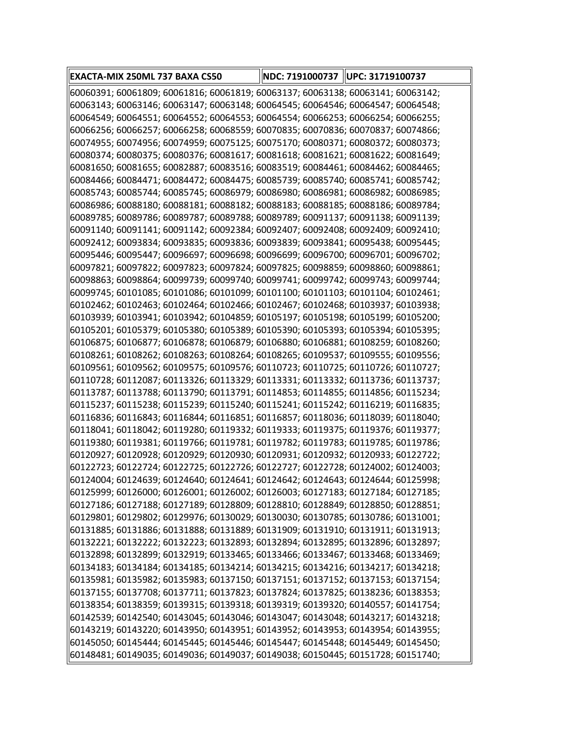| EXACTA-MIX 250ML 737 BAXA CS50                                                                                                                                      | NDC: 7191000737   UPC: 31719100737 |  |
|---------------------------------------------------------------------------------------------------------------------------------------------------------------------|------------------------------------|--|
| 60060391; 60061809; 60061816; 60061819; 60063137; 60063138; 60063141; 60063142;                                                                                     |                                    |  |
| 60063143; 60063146; 60063147; 60063148; 60064545; 60064546; 60064547; 60064548;                                                                                     |                                    |  |
| 60064549; 60064551; 60064552; 60064553; 60064554; 60066253; 60066254; 60066255                                                                                      |                                    |  |
| 60066256; 60066257; 60066258; 60068559; 60070835; 60070836; 60070837; 60074866;                                                                                     |                                    |  |
| 60074955; 60074956; 60074959; 60075125; 60075170; 60080371; 60080372; 60080373;                                                                                     |                                    |  |
| 60080374; 60080375; 60080376; 60081617; 60081618; 60081621; 60081622; 60081649;                                                                                     |                                    |  |
| 60081650; 60081655; 60082887; 60083516; 60083519; 60084461; 60084462; 60084465;                                                                                     |                                    |  |
| 60084466; 60084471; 60084472; 60084475; 60085739; 60085740; 60085741; 60085742;                                                                                     |                                    |  |
| 60085743; 60085744; 60085745; 60086979; 60086980; 60086981; 60086982; 60086985;                                                                                     |                                    |  |
| 60086986; 60088180; 60088181; 60088182; 60088183; 60088185; 60088186; 60089784;                                                                                     |                                    |  |
| 60089785; 60089786; 60089787; 60089788; 60089789; 60091137; 60091138; 60091139;                                                                                     |                                    |  |
| 60091140; 60091141; 60091142; 60092384; 60092407; 60092408; 60092409; 60092410;                                                                                     |                                    |  |
| 60092412; 60093834; 60093835; 60093836; 60093839; 60093841; 60095438; 60095445;                                                                                     |                                    |  |
| 60095446; 60095447; 60096697; 60096698; 60096699; 60096700; 60096701; 60096702;                                                                                     |                                    |  |
| 60097821; 60097822; 60097823; 60097824; 60097825; 60098859; 60098860; 60098861;                                                                                     |                                    |  |
| 60098863; 60098864; 60099739; 60099740; 60099741; 60099742; 60099743; 60099744;                                                                                     |                                    |  |
| 60099745; 60101085; 60101086; 60101099; 60101100; 60101103; 60101104; 60102461;                                                                                     |                                    |  |
| 60102462; 60102463; 60102464; 60102466; 60102467; 60102468; 60103937; 60103938;                                                                                     |                                    |  |
| 60103939; 60103941; 60103942; 60104859; 60105197; 60105198; 60105199; 60105200;                                                                                     |                                    |  |
| 60105201; 60105379; 60105380; 60105389; 60105390; 60105393; 60105394; 60105395;                                                                                     |                                    |  |
| 60106875; 60106877; 60106878; 60106879; 60106880; 60106881; 60108259; 60108260;                                                                                     |                                    |  |
| 60108261; 60108262; 60108263; 60108264; 60108265; 60109537; 60109555; 60109556;                                                                                     |                                    |  |
| 60109561; 60109562; 60109575; 60109576; 60110723; 60110725; 60110726; 60110727;                                                                                     |                                    |  |
| 60110728; 60112087; 60113326; 60113329; 60113331; 60113332; 60113736; 60113737;                                                                                     |                                    |  |
| 60113787; 60113788; 60113790; 60113791; 60114853; 60114855; 60114856; 60115234;                                                                                     |                                    |  |
| 60115237; 60115238; 60115239; 60115240; 60115241; 60115242; 60116219; 60116835;                                                                                     |                                    |  |
| 60116836; 60116843; 60116844; 60116851; 60116857; 60118036; 60118039; 60118040;                                                                                     |                                    |  |
| 60118041; 60118042; 60119280; 60119332; 60119333; 60119375; 60119376; 60119377;                                                                                     |                                    |  |
| 60119380; 60119381; 60119766; 60119781; 60119782; 60119783; 60119785; 60119786;                                                                                     |                                    |  |
| 60120927; 60120928; 60120929; 60120930; 60120931; 60120932; 60120933; 60122722;                                                                                     |                                    |  |
| 60122723; 60122724; 60122725; 60122726; 60122727; 60122728; 60124002; 60124003;                                                                                     |                                    |  |
| 60124004; 60124639; 60124640; 60124641; 60124642; 60124643; 60124644; 60125998;                                                                                     |                                    |  |
| 60125999; 60126000; 60126001; 60126002; 60126003; 60127183; 60127184; 60127185;                                                                                     |                                    |  |
| 60127186; 60127188; 60127189; 60128809; 60128810; 60128849; 60128850; 60128851;                                                                                     |                                    |  |
| 60129801; 60129802; 60129976; 60130029; 60130030; 60130785; 60130786; 60131001;                                                                                     |                                    |  |
| 60131885; 60131886; 60131888; 60131889; 60131909; 60131910; 60131911; 60131913;                                                                                     |                                    |  |
| 60132221; 60132222; 60132223; 60132893; 60132894; 60132895; 60132896; 60132897;                                                                                     |                                    |  |
| 60132898; 60132899; 60132919; 60133465; 60133466; 60133467; 60133468; 60133469;                                                                                     |                                    |  |
| 60134183; 60134184; 60134185; 60134214; 60134215; 60134216; 60134217; 60134218;                                                                                     |                                    |  |
| 60135981; 60135982; 60135983; 60137150; 60137151; 60137152; 60137153; 60137154;<br> 60137155; 60137708; 60137711; 60137823; 60137824; 60137825; 60138236; 60138353; |                                    |  |
| 60138354; 60138359; 60139315; 60139318; 60139319; 60139320; 60140557; 60141754;                                                                                     |                                    |  |
| 60142539; 60142540; 60143045; 60143046; 60143047; 60143048; 60143217; 60143218; [                                                                                   |                                    |  |
| 60143219; 60143220; 60143950; 60143951; 60143952; 60143953; 60143954; 60143955;                                                                                     |                                    |  |
| 60145050; 60145444; 60145445; 60145446; 60145447; 60145448; 60145449; 60145450;                                                                                     |                                    |  |
| 60148481; 60149035; 60149036; 60149037; 60149038; 60150445; 60151728; 60151740;                                                                                     |                                    |  |
|                                                                                                                                                                     |                                    |  |